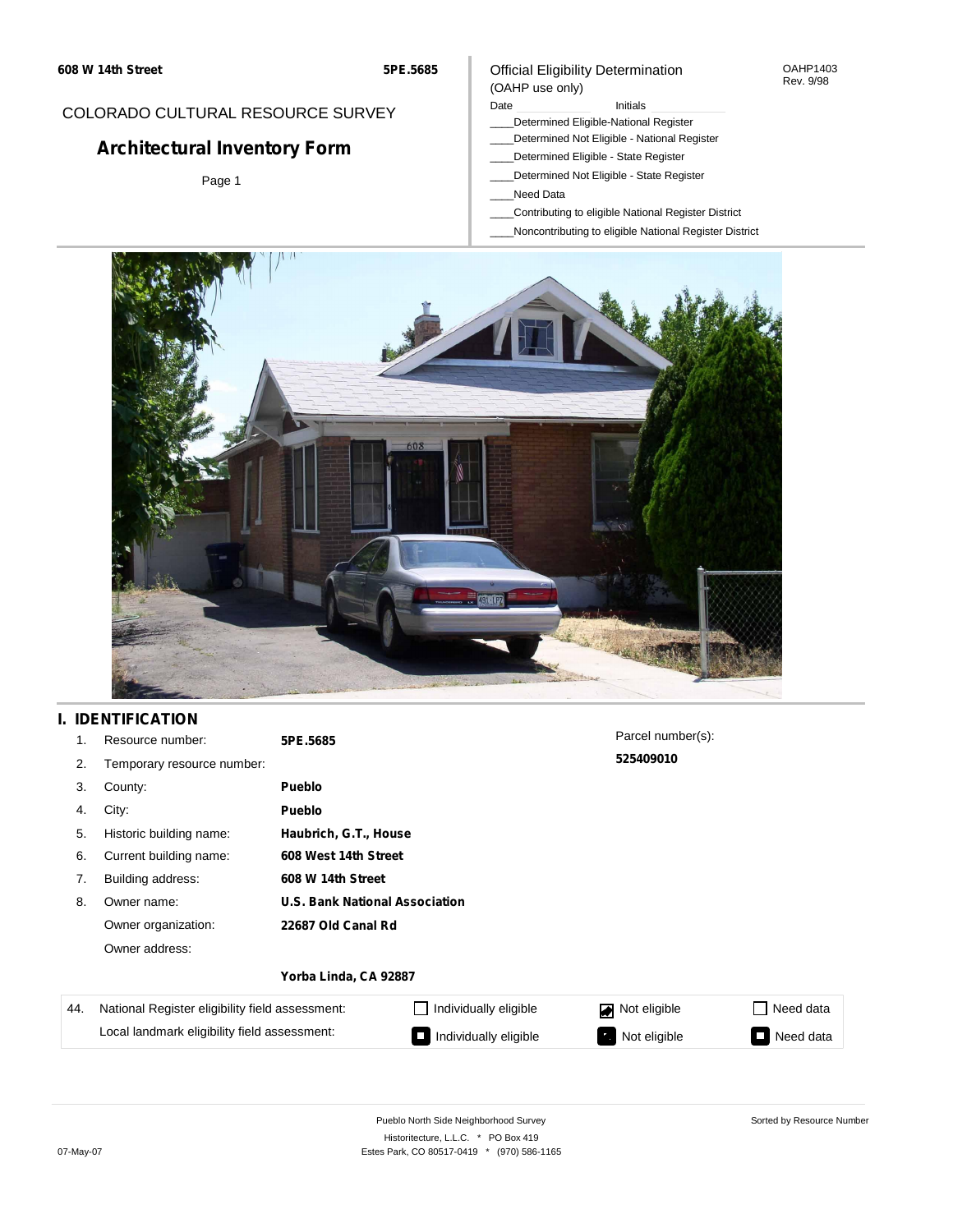### COLORADO CULTURAL RESOURCE SURVEY

# **Architectural Inventory Form**

Page 1

### Official Eligibility Determination (OAHP use only)

#### Date **Initials** Initials

- \_\_\_\_Determined Eligible-National Register
- \_\_\_\_Determined Not Eligible National Register
- \_\_\_\_Determined Eligible State Register
- \_\_\_\_Determined Not Eligible State Register
- \_\_\_\_Need Data
- \_\_\_\_Contributing to eligible National Register District
- \_\_\_\_Noncontributing to eligible National Register District



## **I. IDENTIFICATION**

| 1.               | Resource number:                               | 5PE.5685                              | Parcel number(s):      |           |
|------------------|------------------------------------------------|---------------------------------------|------------------------|-----------|
| 2.               | Temporary resource number:                     |                                       | 525409010              |           |
| 3.               | County:                                        | <b>Pueblo</b>                         |                        |           |
| 4.               | City:                                          | <b>Pueblo</b>                         |                        |           |
| 5.               | Historic building name:                        | Haubrich, G.T., House                 |                        |           |
| 6.               | Current building name:                         | 608 West 14th Street                  |                        |           |
| 7.               | Building address:                              | 608 W 14th Street                     |                        |           |
| 8.               | Owner name:                                    | <b>U.S. Bank National Association</b> |                        |           |
|                  | Owner organization:                            | 22687 Old Canal Rd                    |                        |           |
|                  | Owner address:                                 |                                       |                        |           |
|                  |                                                | Yorba Linda, CA 92887                 |                        |           |
| $\Lambda\Lambda$ | National Register eligibility field assessment | Individually aligible                 | <b>DE Not aligible</b> | ctch hool |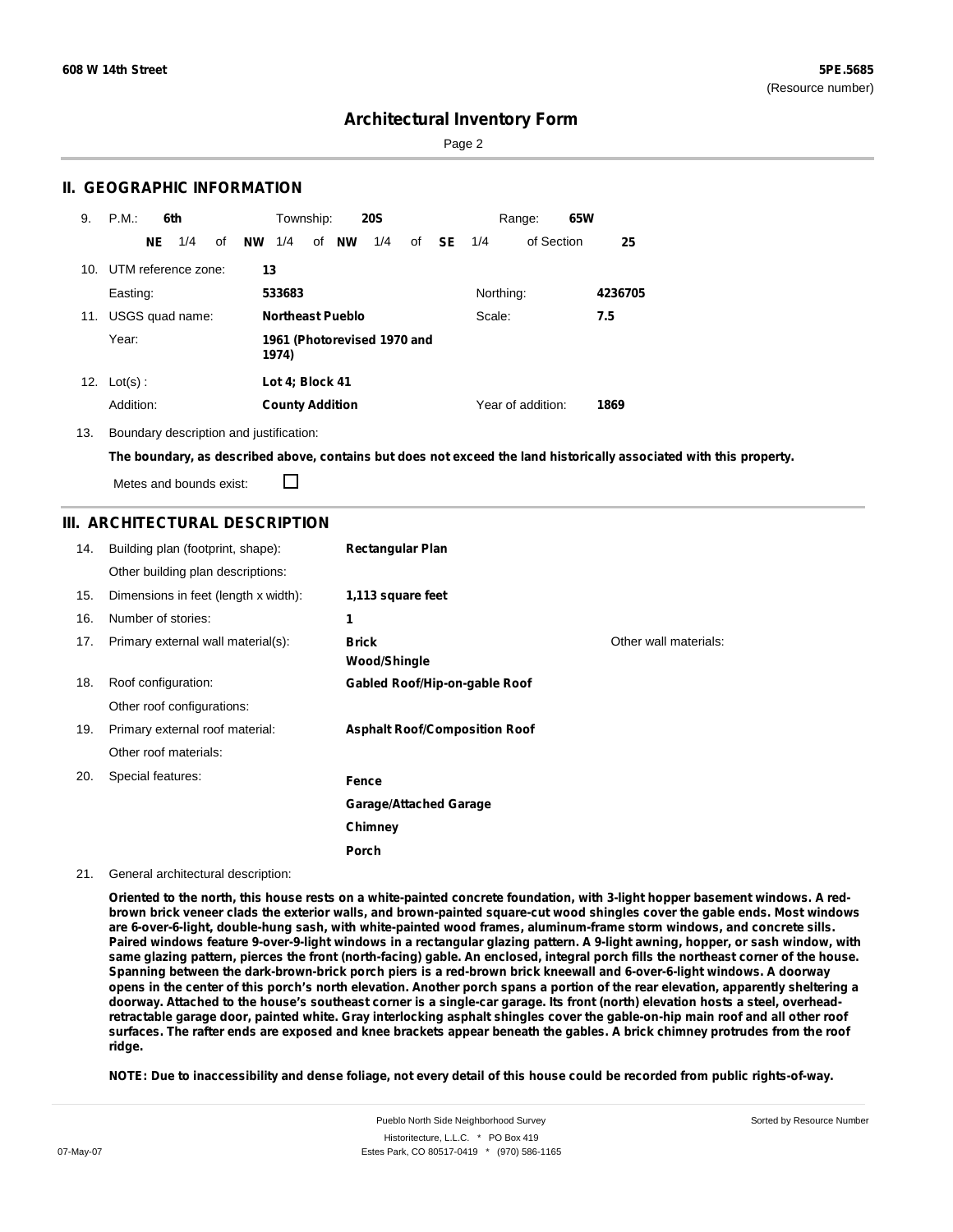Page 2

### **II. GEOGRAPHIC INFORMATION**

| 9.  | P.M.                                          |     | 6th                 |    |           | Township:              |                         | <b>20S</b> |    |           |           | Range:            | 65W |         |
|-----|-----------------------------------------------|-----|---------------------|----|-----------|------------------------|-------------------------|------------|----|-----------|-----------|-------------------|-----|---------|
|     |                                               | NE. | 1/4                 | of | <b>NW</b> | 1/4                    | of NW                   | 1/4        | of | <b>SE</b> | 1/4       | of Section        |     | 25      |
| 10. |                                               |     | UTM reference zone: |    | 13        |                        |                         |            |    |           |           |                   |     |         |
|     | Easting:                                      |     |                     |    |           | 533683                 |                         |            |    |           | Northing: |                   |     | 4236705 |
| 11. |                                               |     | USGS quad name:     |    |           |                        | <b>Northeast Pueblo</b> |            |    |           | Scale:    |                   |     | 7.5     |
|     | Year:<br>1961 (Photorevised 1970 and<br>1974) |     |                     |    |           |                        |                         |            |    |           |           |                   |     |         |
| 12. | $Lot(s)$ :                                    |     |                     |    |           | Lot 4; Block 41        |                         |            |    |           |           |                   |     |         |
|     | Addition:                                     |     |                     |    |           | <b>County Addition</b> |                         |            |    |           |           | Year of addition: |     | 1869    |

13. Boundary description and justification:

The boundary, as described above, contains but does not exceed the land historically associated with this property.

П Metes and bounds exist:

### **III. ARCHITECTURAL DESCRIPTION**

| 14. | Building plan (footprint, shape):    | <b>Rectangular Plan</b>              |                       |
|-----|--------------------------------------|--------------------------------------|-----------------------|
|     | Other building plan descriptions:    |                                      |                       |
| 15. | Dimensions in feet (length x width): | 1,113 square feet                    |                       |
| 16. | Number of stories:                   | 1                                    |                       |
| 17. | Primary external wall material(s):   | <b>Brick</b><br><b>Wood/Shingle</b>  | Other wall materials: |
| 18. | Roof configuration:                  | Gabled Roof/Hip-on-gable Roof        |                       |
|     | Other roof configurations:           |                                      |                       |
| 19. | Primary external roof material:      | <b>Asphalt Roof/Composition Roof</b> |                       |
|     | Other roof materials:                |                                      |                       |
| 20. | Special features:                    | Fence                                |                       |
|     |                                      | <b>Garage/Attached Garage</b>        |                       |
|     |                                      | Chimney                              |                       |
|     |                                      | Porch                                |                       |

#### 21. General architectural description:

Oriented to the north, this house rests on a white-painted concrete foundation, with 3-light hopper basement windows. A redbrown brick veneer clads the exterior walls, and brown-painted square-cut wood shingles cover the gable ends. Most windows **are 6-over-6-light, double-hung sash, with white-painted wood frames, aluminum-frame storm windows, and concrete sills.** Paired windows feature 9-over-9-light windows in a rectangular glazing pattern. A 9-light awning, hopper, or sash window, with same glazing pattern, pierces the front (north-facing) gable. An enclosed, integral porch fills the northeast corner of the house. Spanning between the dark-brown-brick porch piers is a red-brown brick kneewall and 6-over-6-light windows. A doorway opens in the center of this porch's north elevation. Another porch spans a portion of the rear elevation, apparently sheltering a doorway. Attached to the house's southeast corner is a single-car garage. Its front (north) elevation hosts a steel, overheadretractable garage door, painted white. Gray interlocking asphalt shingles cover the gable-on-hip main roof and all other roof surfaces. The rafter ends are exposed and knee brackets appear beneath the gables. A brick chimney protrudes from the roof **ridge.**

NOTE: Due to inaccessibility and dense foliage, not every detail of this house could be recorded from public rights-of-way.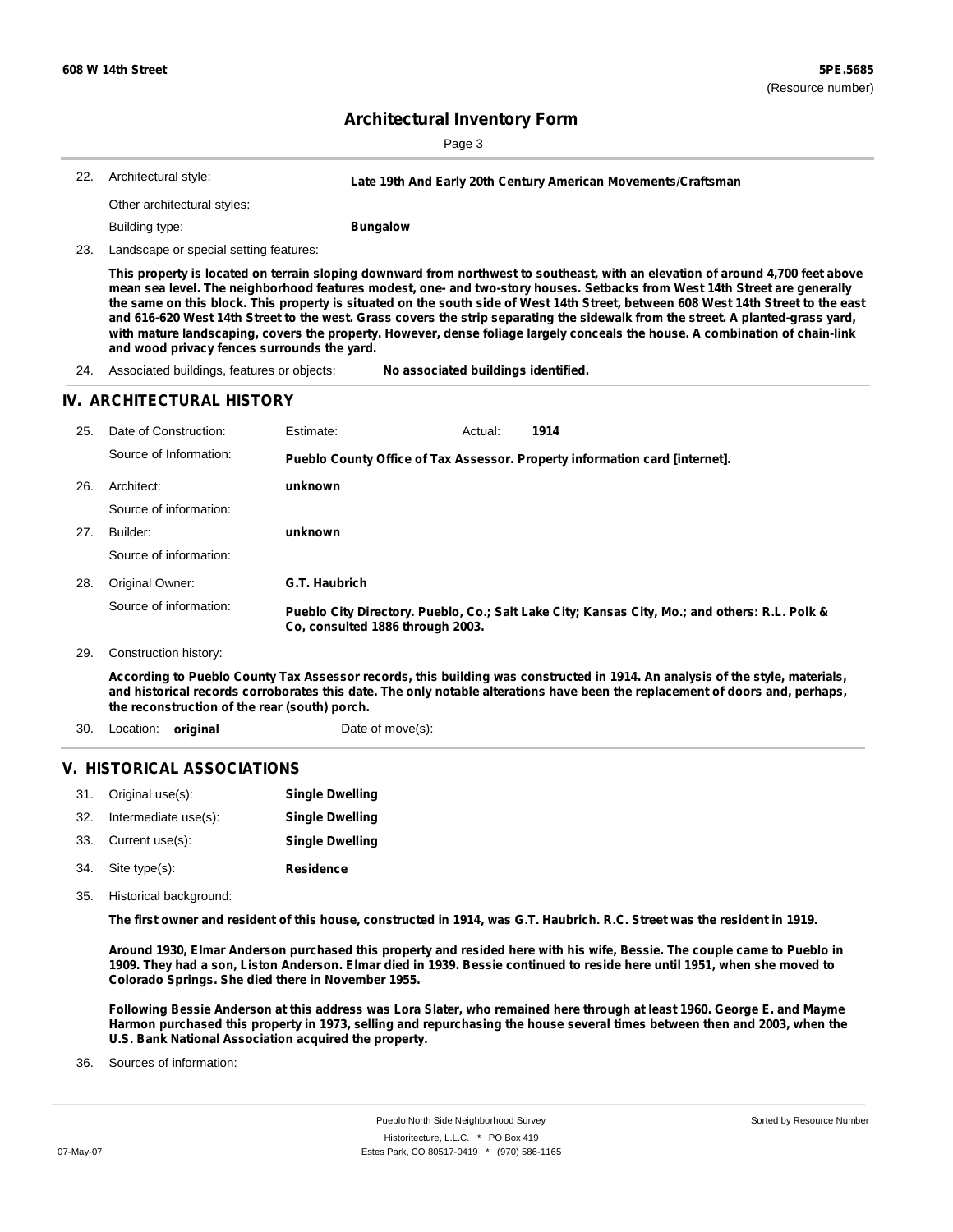| 22. Architectural style:    | Late 19th And Early 20th Century American Movements/Craftsman |
|-----------------------------|---------------------------------------------------------------|
| Other architectural styles: |                                                               |
| Building type:              | <b>Bungalow</b>                                               |

23. Landscape or special setting features:

This property is located on terrain sloping downward from northwest to southeast, with an elevation of around 4,700 feet above mean sea level. The neighborhood features modest, one- and two-story houses. Setbacks from West 14th Street are generally the same on this block. This property is situated on the south side of West 14th Street, between 608 West 14th Street to the east and 616-620 West 14th Street to the west. Grass covers the strip separating the sidewalk from the street. A planted-grass yard, with mature landscaping, covers the property. However, dense foliage largely conceals the house. A combination of chain-link **and wood privacy fences surrounds the yard.**

24. Associated buildings, features or objects: **No associated buildings identified.**

#### **IV. ARCHITECTURAL HISTORY**

| 25. | Date of Construction:                         | Estimate:                        | Actual: | 1914                                                                                                                                                                                                                                                         |
|-----|-----------------------------------------------|----------------------------------|---------|--------------------------------------------------------------------------------------------------------------------------------------------------------------------------------------------------------------------------------------------------------------|
|     | Source of Information:                        |                                  |         | Pueblo County Office of Tax Assessor. Property information card [internet].                                                                                                                                                                                  |
| 26. | Architect:                                    | unknown                          |         |                                                                                                                                                                                                                                                              |
|     | Source of information:                        |                                  |         |                                                                                                                                                                                                                                                              |
| 27. | Builder:                                      | unknown                          |         |                                                                                                                                                                                                                                                              |
|     | Source of information:                        |                                  |         |                                                                                                                                                                                                                                                              |
| 28. | Original Owner:                               | G.T. Haubrich                    |         |                                                                                                                                                                                                                                                              |
|     | Source of information:                        | Co. consulted 1886 through 2003. |         | Pueblo City Directory. Pueblo, Co.; Salt Lake City; Kansas City, Mo.; and others: R.L. Polk &                                                                                                                                                                |
| 29. | Construction history:                         |                                  |         |                                                                                                                                                                                                                                                              |
|     | the reconstruction of the rear (south) porch. |                                  |         | According to Pueblo County Tax Assessor records, this building was constructed in 1914. An analysis of the style, materials,<br>and historical records corroborates this date. The only notable alterations have been the replacement of doors and, perhaps, |

30. Location: **original** Date of move(s):

#### **V. HISTORICAL ASSOCIATIONS**

| 31. | Original use(s):     | <b>Single Dwelling</b> |
|-----|----------------------|------------------------|
| 32. | Intermediate use(s): | <b>Single Dwelling</b> |
| 33. | Current use(s):      | <b>Single Dwelling</b> |
| 34. | Site type(s):        | <b>Residence</b>       |

35. Historical background:

The first owner and resident of this house, constructed in 1914, was G.T. Haubrich. R.C. Street was the resident in 1919.

Around 1930, Elmar Anderson purchased this property and resided here with his wife, Bessie. The couple came to Pueblo in 1909. They had a son, Liston Anderson. Elmar died in 1939. Bessie continued to reside here until 1951, when she moved to **Colorado Springs. She died there in November 1955.**

Following Bessie Anderson at this address was Lora Slater, who remained here through at least 1960. George E. and Mayme Harmon purchased this property in 1973, selling and repurchasing the house several times between then and 2003, when the **U.S. Bank National Association acquired the property.**

Sources of information: 36.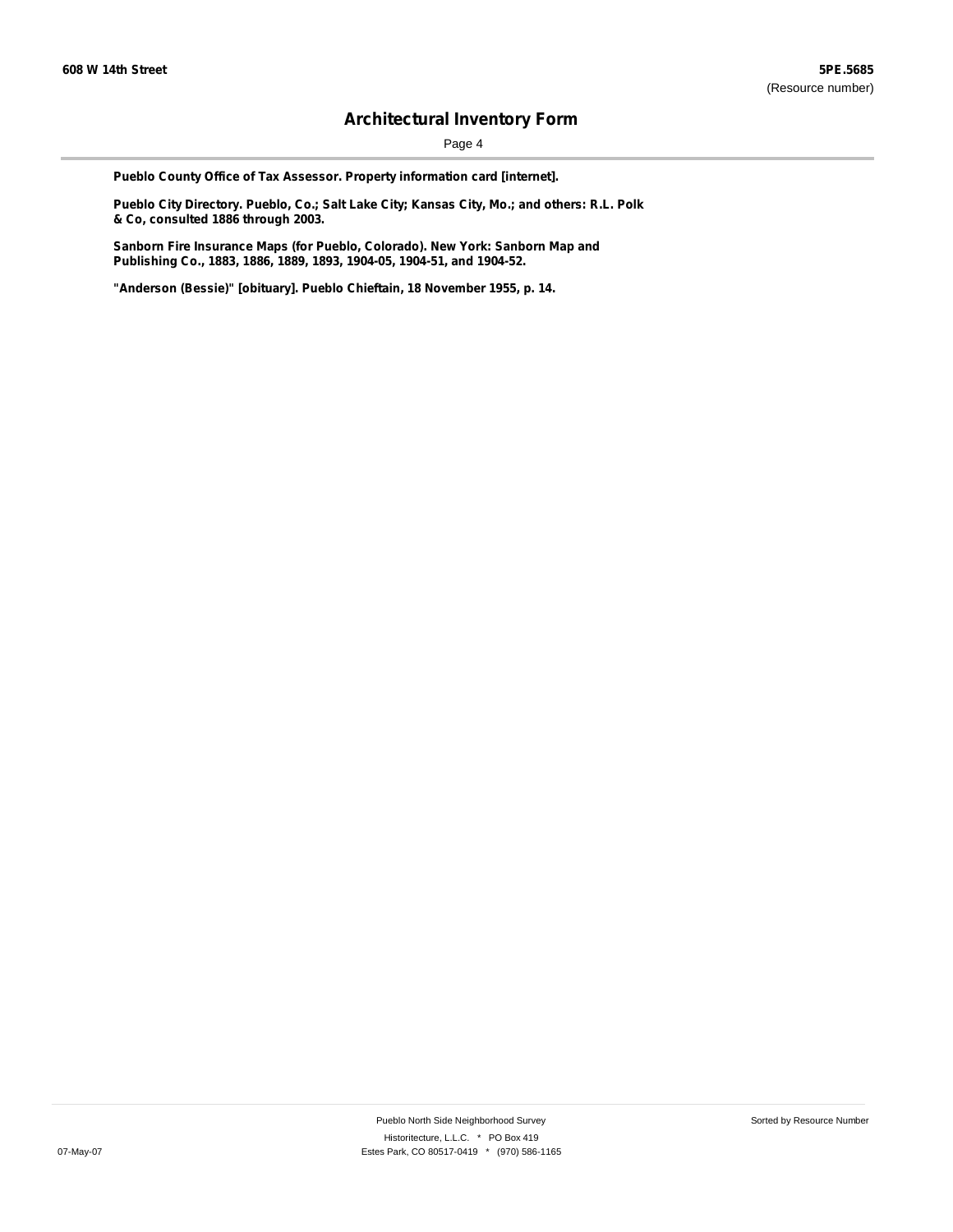Page 4

**Pueblo County Office of Tax Assessor. Property information card [internet].**

**Pueblo City Directory. Pueblo, Co.; Salt Lake City; Kansas City, Mo.; and others: R.L. Polk & Co, consulted 1886 through 2003.**

**Sanborn Fire Insurance Maps (for Pueblo, Colorado). New York: Sanborn Map and Publishing Co., 1883, 1886, 1889, 1893, 1904-05, 1904-51, and 1904-52.**

**"Anderson (Bessie)" [obituary]. Pueblo Chieftain, 18 November 1955, p. 14.**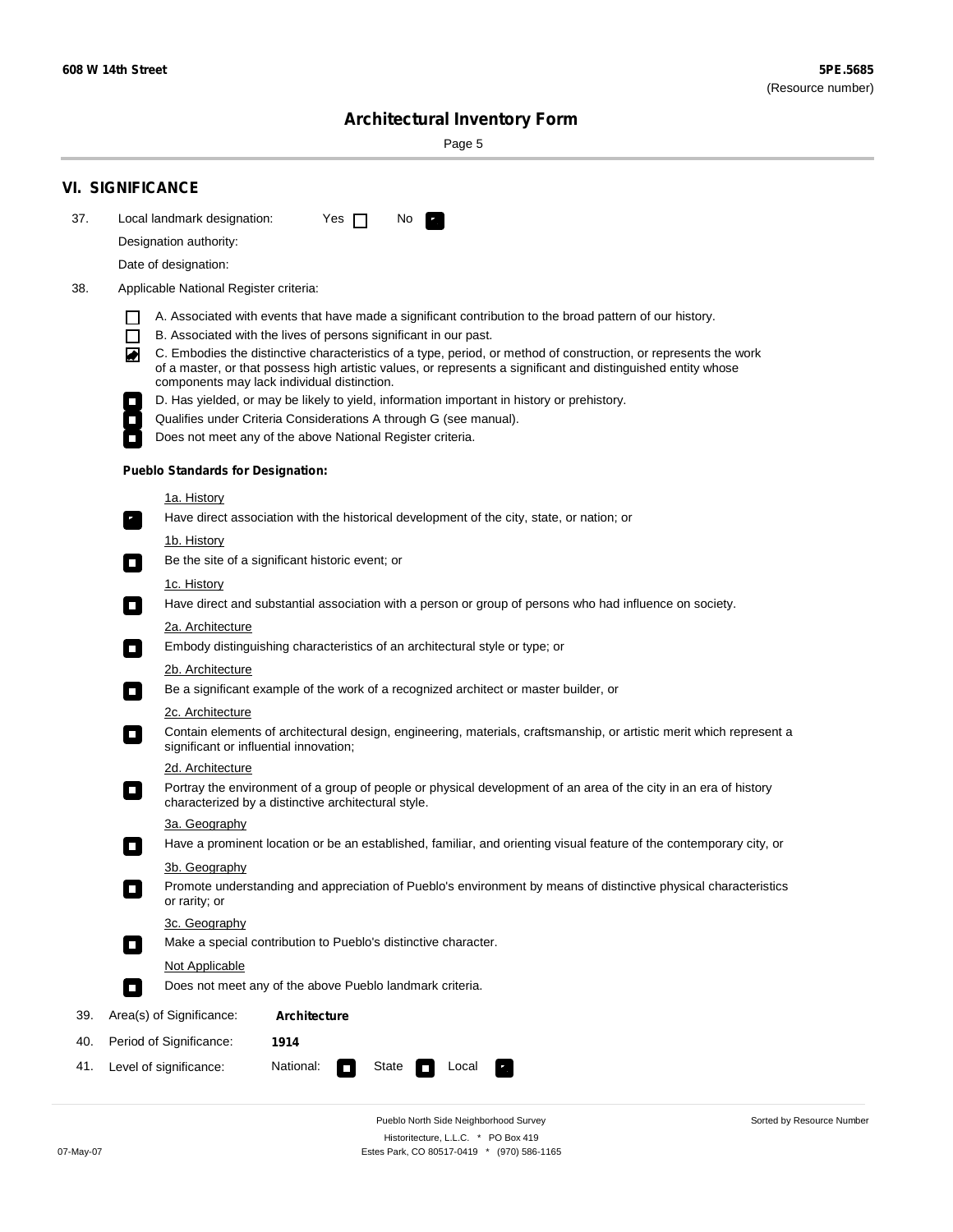÷

Sorted by Resource Number

# **Architectural Inventory Form**

Page 5

|     | <b>VI. SIGNIFICANCE</b>                                                                                                                                                                                                                                                                                                                                                                                                                                                                                                                                                                                                                                                                                                |  |  |  |  |  |
|-----|------------------------------------------------------------------------------------------------------------------------------------------------------------------------------------------------------------------------------------------------------------------------------------------------------------------------------------------------------------------------------------------------------------------------------------------------------------------------------------------------------------------------------------------------------------------------------------------------------------------------------------------------------------------------------------------------------------------------|--|--|--|--|--|
| 37. | Local landmark designation:<br>Yes $\Box$<br>No.                                                                                                                                                                                                                                                                                                                                                                                                                                                                                                                                                                                                                                                                       |  |  |  |  |  |
|     | Designation authority:                                                                                                                                                                                                                                                                                                                                                                                                                                                                                                                                                                                                                                                                                                 |  |  |  |  |  |
|     | Date of designation:                                                                                                                                                                                                                                                                                                                                                                                                                                                                                                                                                                                                                                                                                                   |  |  |  |  |  |
| 38. | Applicable National Register criteria:                                                                                                                                                                                                                                                                                                                                                                                                                                                                                                                                                                                                                                                                                 |  |  |  |  |  |
|     | A. Associated with events that have made a significant contribution to the broad pattern of our history.<br>l.<br>B. Associated with the lives of persons significant in our past.<br>$\Box$<br>C. Embodies the distinctive characteristics of a type, period, or method of construction, or represents the work<br>◙<br>of a master, or that possess high artistic values, or represents a significant and distinguished entity whose<br>components may lack individual distinction.<br>D. Has yielded, or may be likely to yield, information important in history or prehistory.<br>Qualifies under Criteria Considerations A through G (see manual).<br>Does not meet any of the above National Register criteria. |  |  |  |  |  |
|     | <b>Pueblo Standards for Designation:</b>                                                                                                                                                                                                                                                                                                                                                                                                                                                                                                                                                                                                                                                                               |  |  |  |  |  |
|     |                                                                                                                                                                                                                                                                                                                                                                                                                                                                                                                                                                                                                                                                                                                        |  |  |  |  |  |
|     | 1a. History<br>Have direct association with the historical development of the city, state, or nation; or                                                                                                                                                                                                                                                                                                                                                                                                                                                                                                                                                                                                               |  |  |  |  |  |
|     | <u>1b. History</u>                                                                                                                                                                                                                                                                                                                                                                                                                                                                                                                                                                                                                                                                                                     |  |  |  |  |  |
|     | Be the site of a significant historic event; or<br>$\mathcal{L}_{\mathcal{A}}$                                                                                                                                                                                                                                                                                                                                                                                                                                                                                                                                                                                                                                         |  |  |  |  |  |
|     | 1c. History<br>Have direct and substantial association with a person or group of persons who had influence on society.<br>$\blacksquare$                                                                                                                                                                                                                                                                                                                                                                                                                                                                                                                                                                               |  |  |  |  |  |
|     | 2a. Architecture                                                                                                                                                                                                                                                                                                                                                                                                                                                                                                                                                                                                                                                                                                       |  |  |  |  |  |
|     | Embody distinguishing characteristics of an architectural style or type; or<br>$\overline{\phantom{a}}$                                                                                                                                                                                                                                                                                                                                                                                                                                                                                                                                                                                                                |  |  |  |  |  |
|     | 2b. Architecture                                                                                                                                                                                                                                                                                                                                                                                                                                                                                                                                                                                                                                                                                                       |  |  |  |  |  |
|     | Be a significant example of the work of a recognized architect or master builder, or<br>$\sim$                                                                                                                                                                                                                                                                                                                                                                                                                                                                                                                                                                                                                         |  |  |  |  |  |
|     | 2c. Architecture<br>Contain elements of architectural design, engineering, materials, craftsmanship, or artistic merit which represent a<br>О<br>significant or influential innovation;                                                                                                                                                                                                                                                                                                                                                                                                                                                                                                                                |  |  |  |  |  |
|     | 2d. Architecture                                                                                                                                                                                                                                                                                                                                                                                                                                                                                                                                                                                                                                                                                                       |  |  |  |  |  |
|     | Portray the environment of a group of people or physical development of an area of the city in an era of history<br>$\Box$<br>characterized by a distinctive architectural style.                                                                                                                                                                                                                                                                                                                                                                                                                                                                                                                                      |  |  |  |  |  |
|     | 3a. Geography                                                                                                                                                                                                                                                                                                                                                                                                                                                                                                                                                                                                                                                                                                          |  |  |  |  |  |
|     | Have a prominent location or be an established, familiar, and orienting visual feature of the contemporary city, or                                                                                                                                                                                                                                                                                                                                                                                                                                                                                                                                                                                                    |  |  |  |  |  |
|     | 3b. Geography                                                                                                                                                                                                                                                                                                                                                                                                                                                                                                                                                                                                                                                                                                          |  |  |  |  |  |
|     | Promote understanding and appreciation of Pueblo's environment by means of distinctive physical characteristics<br>or rarity; or                                                                                                                                                                                                                                                                                                                                                                                                                                                                                                                                                                                       |  |  |  |  |  |
|     | 3c. Geography                                                                                                                                                                                                                                                                                                                                                                                                                                                                                                                                                                                                                                                                                                          |  |  |  |  |  |
|     | Make a special contribution to Pueblo's distinctive character.<br>$\sim$                                                                                                                                                                                                                                                                                                                                                                                                                                                                                                                                                                                                                                               |  |  |  |  |  |
|     | Not Applicable<br>Does not meet any of the above Pueblo landmark criteria.<br>$\overline{\phantom{a}}$                                                                                                                                                                                                                                                                                                                                                                                                                                                                                                                                                                                                                 |  |  |  |  |  |
|     |                                                                                                                                                                                                                                                                                                                                                                                                                                                                                                                                                                                                                                                                                                                        |  |  |  |  |  |
| 39. | Area(s) of Significance:<br><b>Architecture</b>                                                                                                                                                                                                                                                                                                                                                                                                                                                                                                                                                                                                                                                                        |  |  |  |  |  |
| 40. | Period of Significance:<br>1914                                                                                                                                                                                                                                                                                                                                                                                                                                                                                                                                                                                                                                                                                        |  |  |  |  |  |
| 41. | National:<br>Level of significance:<br>State<br>Local<br>т,<br>П                                                                                                                                                                                                                                                                                                                                                                                                                                                                                                                                                                                                                                                       |  |  |  |  |  |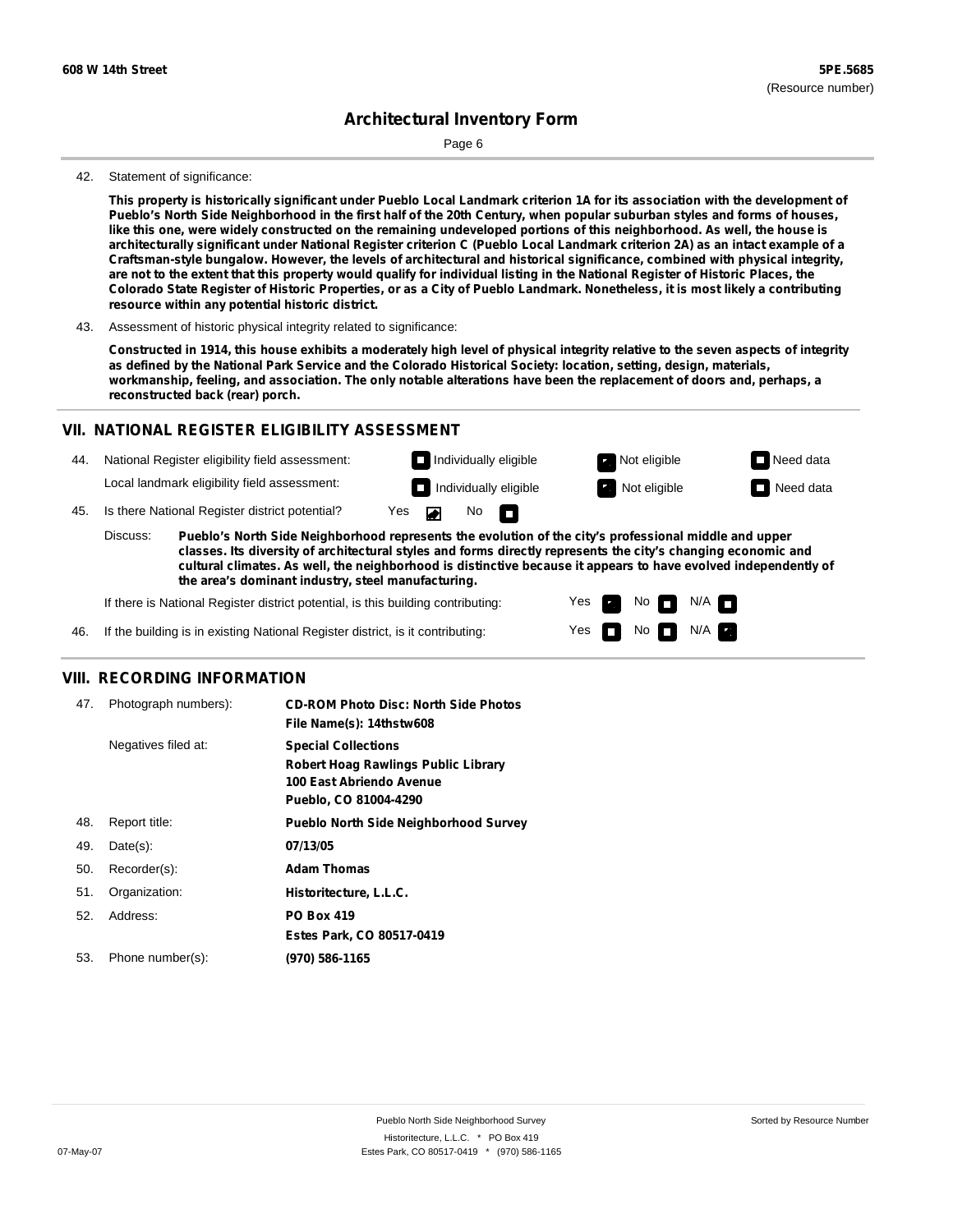Page 6

#### 42. Statement of significance:

This property is historically significant under Pueblo Local Landmark criterion 1A for its association with the development of Pueblo's North Side Neighborhood in the first half of the 20th Century, when popular suburban styles and forms of houses, like this one, were widely constructed on the remaining undeveloped portions of this neighborhood. As well, the house is architecturally significant under National Register criterion C (Pueblo Local Landmark criterion 2A) as an intact example of a **Craftsman-style bungalow. However, the levels of architectural and historical significance, combined with physical integrity,** are not to the extent that this property would qualify for individual listing in the National Register of Historic Places, the Colorado State Register of Historic Properties, or as a City of Pueblo Landmark. Nonetheless, it is most likely a contributing **resource within any potential historic district.**

43. Assessment of historic physical integrity related to significance:

Constructed in 1914, this house exhibits a moderately high level of physical integrity relative to the seven aspects of integrity as defined by the National Park Service and the Colorado Historical Society: location, setting, design, materials, workmanship, feeling, and association. The only notable alterations have been the replacement of doors and, perhaps, a **reconstructed back (rear) porch.**

#### **VII. NATIONAL REGISTER ELIGIBILITY ASSESSMENT**

National Register eligibility field assessment: 44. Local landmark eligibility field assessment:

**Individually eligible Not eligible** Not eligible **Need data Individually eligible Not eligible Not eligible Need data** 

No<sub>D</sub>

45. Is there National Register district potential? Yes

**Pueblo's North Side Neighborhood represents the evolution of the city's professional middle and upper classes. Its diversity of architectural styles and forms directly represents the city's changing economic and cultural climates. As well, the neighborhood is distinctive because it appears to have evolved independently of the area's dominant industry, steel manufacturing.** Discuss:

 $\blacksquare$ 

Yes Yes No

 $No$   $N/A$ 

 $N/A$   $\Box$ 

If there is National Register district potential, is this building contributing:

46. If the building is in existing National Register district, is it contributing:

### **VIII. RECORDING INFORMATION**

| 47. | Photograph numbers): | <b>CD-ROM Photo Disc: North Side Photos</b><br>File Name(s): 14thstw608                                                       |
|-----|----------------------|-------------------------------------------------------------------------------------------------------------------------------|
|     | Negatives filed at:  | <b>Special Collections</b><br><b>Robert Hoag Rawlings Public Library</b><br>100 East Abriendo Avenue<br>Pueblo, CO 81004-4290 |
| 48. | Report title:        | <b>Pueblo North Side Neighborhood Survey</b>                                                                                  |
| 49. | $Date(s)$ :          | 07/13/05                                                                                                                      |
| 50. | Recorder(s):         | <b>Adam Thomas</b>                                                                                                            |
| 51. | Organization:        | Historitecture, L.L.C.                                                                                                        |
| 52. | Address:             | <b>PO Box 419</b>                                                                                                             |
|     |                      | Estes Park, CO 80517-0419                                                                                                     |
| 53. | Phone number(s):     | (970) 586-1165                                                                                                                |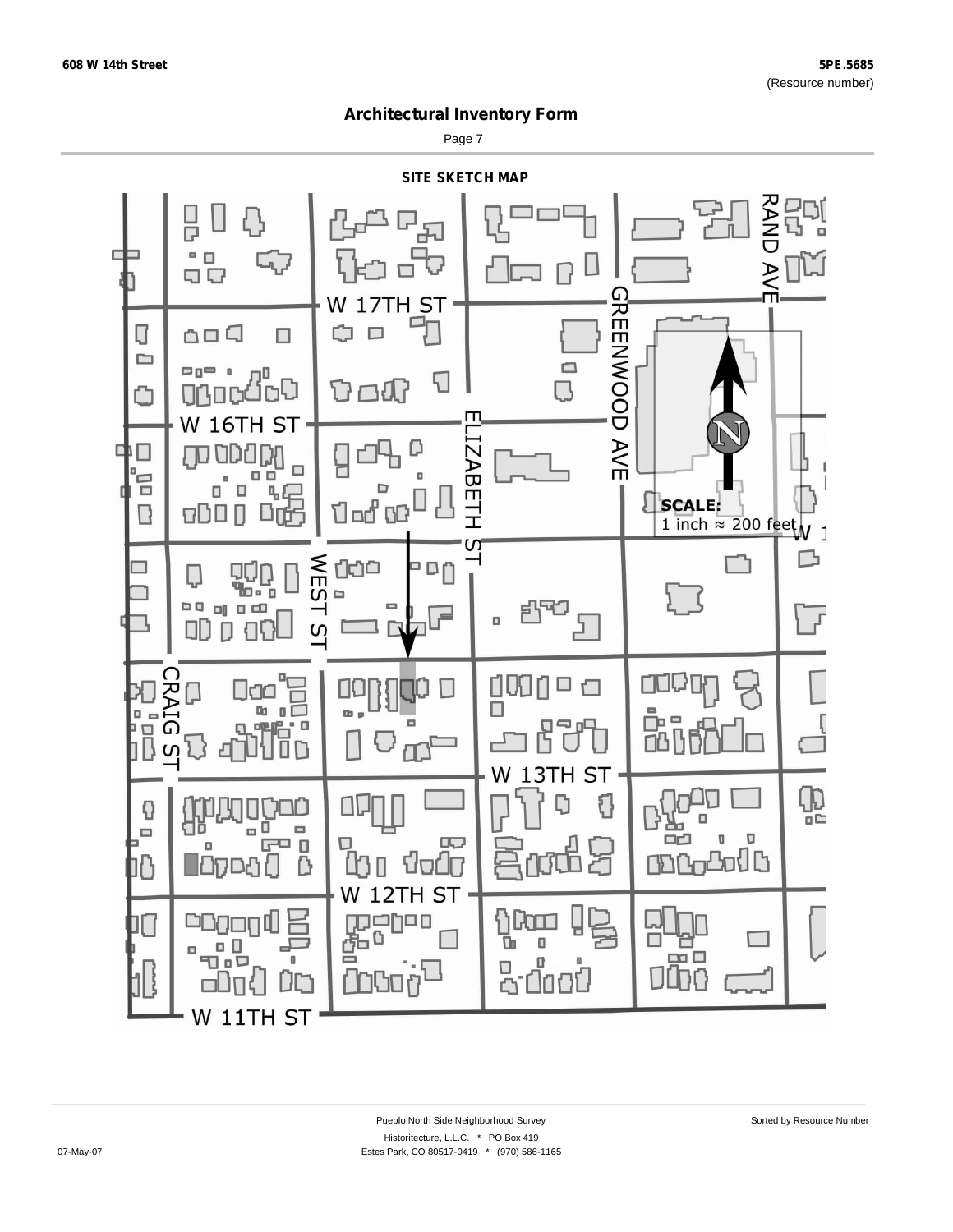Page 7